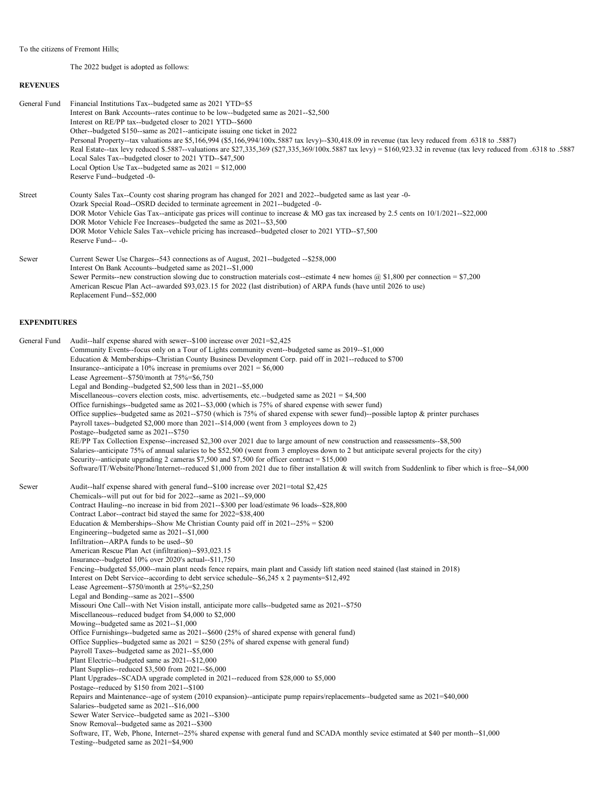The 2022 budget is adopted as follows:

#### **REVENUES**

| General Fund | Financial Institutions Tax--budgeted same as 2021 YTD=\$5                                                                                                            |  |  |  |  |  |  |
|--------------|----------------------------------------------------------------------------------------------------------------------------------------------------------------------|--|--|--|--|--|--|
|              | Interest on Bank Accounts--rates continue to be low--budgeted same as 2021--\$2,500                                                                                  |  |  |  |  |  |  |
|              | Interest on RE/PP tax--budgeted closer to 2021 YTD--\$600                                                                                                            |  |  |  |  |  |  |
|              | Other--budgeted \$150--same as 2021--anticipate issuing one ticket in 2022                                                                                           |  |  |  |  |  |  |
|              | Personal Property--tax valuations are \$5,166,994 (\$5,166,994/100x.5887 tax levy)--\$30,418.09 in revenue (tax levy reduced from .6318 to .5887)                    |  |  |  |  |  |  |
|              | Real Estate--tax levy reduced \$.5887--valuations are \$27,335,369 (\$27,335,369/100x.5887 tax levy) = \$160,923.32 in revenue (tax levy reduced from .6318 to .5887 |  |  |  |  |  |  |
|              | Local Sales Tax--budgeted closer to 2021 YTD--\$47,500                                                                                                               |  |  |  |  |  |  |
|              | Local Option Use Tax--budgeted same as $2021 = $12,000$                                                                                                              |  |  |  |  |  |  |
|              | Reserve Fund--budgeted -0-                                                                                                                                           |  |  |  |  |  |  |
| Street       | County Sales Tax--County cost sharing program has changed for 2021 and 2022--budgeted same as last year -0-                                                          |  |  |  |  |  |  |
|              | Ozark Special Road--OSRD decided to terminate agreement in 2021--budgeted -0-                                                                                        |  |  |  |  |  |  |
|              | DOR Motor Vehicle Gas Tax--anticipate gas prices will continue to increase & MO gas tax increased by 2.5 cents on 10/1/2021--\$22,000                                |  |  |  |  |  |  |
|              | DOR Motor Vehicle Fee Increases--budgeted the same as 2021--\$3,500                                                                                                  |  |  |  |  |  |  |
|              | DOR Motor Vehicle Sales Tax--vehicle pricing has increased--budgeted closer to 2021 YTD--\$7,500                                                                     |  |  |  |  |  |  |
|              | Reserve Fund---0-                                                                                                                                                    |  |  |  |  |  |  |
| Sewer        | Current Sewer Use Charges--543 connections as of August, 2021--budgeted --\$258,000                                                                                  |  |  |  |  |  |  |
|              | Interest On Bank Accounts--budgeted same as 2021--\$1,000                                                                                                            |  |  |  |  |  |  |
|              | Sewer Permits--new construction slowing due to construction materials cost--estimate 4 new homes $(a)$ \$1,800 per connection = \$7,200                              |  |  |  |  |  |  |
|              | American Rescue Plan Act--awarded \$93,023.15 for 2022 (last distribution) of ARPA funds (have until 2026 to use)                                                    |  |  |  |  |  |  |
|              | Replacement Fund--\$52,000                                                                                                                                           |  |  |  |  |  |  |
|              |                                                                                                                                                                      |  |  |  |  |  |  |

#### **EXPENDITURES**

| General Fund | Audit--half expense shared with sewer--\$100 increase over 2021=\$2,425                                                                              |
|--------------|------------------------------------------------------------------------------------------------------------------------------------------------------|
|              | Community Events--focus only on a Tour of Lights community event--budgeted same as 2019--\$1,000                                                     |
|              | Education & Memberships--Christian County Business Development Corp. paid off in 2021--reduced to \$700                                              |
|              | Insurance--anticipate a 10% increase in premiums over $2021 = $6,000$                                                                                |
|              | Lease Agreement--\$750/month at 75%=\$6,750                                                                                                          |
|              | Legal and Bonding--budgeted \$2,500 less than in 2021--\$5,000                                                                                       |
|              | Miscellaneous--covers election costs, misc. advertisements, etc.--budgeted same as $2021 = $4,500$                                                   |
|              | Office furnishings--budgeted same as 2021--\$3,000 (which is 75% of shared expense with sewer fund)                                                  |
|              | Office supplies--budgeted same as $2021 - $750$ (which is 75% of shared expense with sewer fund)--possible laptop & printer purchases                |
|              | Payroll taxes--budgeted \$2,000 more than 2021--\$14,000 (went from 3 employees down to 2)                                                           |
|              | Postage--budgeted same as 2021--\$750                                                                                                                |
|              | RE/PP Tax Collection Expense--increased \$2,300 over 2021 due to large amount of new construction and reassessments-\$8,500                          |
|              | Salaries-anticipate 75% of annual salaries to be \$52,500 (went from 3 employess down to 2 but anticipate several projects for the city)             |
|              | Security-anticipate upgrading 2 cameras \$7,500 and \$7,500 for officer contract = $$15,000$                                                         |
|              | Software/IT/Website/Phone/Internet--reduced \$1,000 from 2021 due to fiber installation & will switch from Suddenlink to fiber which is free-\$4,000 |
|              |                                                                                                                                                      |
| Sewer        | Audit-half expense shared with general fund-\$100 increase over 2021=total \$2,425                                                                   |
|              | Chemicals--will put out for bid for 2022--same as 2021--\$9,000                                                                                      |
|              | Contract Hauling--no increase in bid from 2021--\$300 per load/estimate 96 loads--\$28,800                                                           |
|              | Contract Labor--contract bid stayed the same for 2022=\$38,400                                                                                       |
|              | Education & Memberships--Show Me Christian County paid off in $2021 - 25\% = $200$                                                                   |
|              | Engineering--budgeted same as 2021--\$1,000                                                                                                          |
|              | Infiltration--ARPA funds to be used--\$0                                                                                                             |
|              | American Rescue Plan Act (infiltration)--\$93,023.15                                                                                                 |
|              | Insurance--budgeted 10% over 2020's actual--\$11,750                                                                                                 |
|              | Fencing--budgeted \$5,000--main plant needs fence repairs, main plant and Cassidy lift station need stained (last stained in 2018)                   |
|              | Interest on Debt Service--according to debt service schedule--\$6,245 x 2 payments=\$12,492                                                          |
|              | Lease Agreement--\$750/month at 25%=\$2,250                                                                                                          |
|              | Legal and Bonding--same as 2021--\$500                                                                                                               |
|              | Missouri One Call--with Net Vision install, anticipate more calls--budgeted same as 2021--\$750                                                      |
|              | Miscellaneous--reduced budget from \$4,000 to \$2,000                                                                                                |
|              | Mowing--budgeted same as 2021--\$1,000                                                                                                               |
|              | Office Furnishings--budgeted same as 2021--\$600 (25% of shared expense with general fund)                                                           |
|              | Office Supplies--budgeted same as $2021 = $250$ (25% of shared expense with general fund)                                                            |
|              | Payroll Taxes-budgeted same as 2021--\$5,000                                                                                                         |
|              | Plant Electric--budgeted same as 2021--\$12,000                                                                                                      |
|              |                                                                                                                                                      |
|              | Plant Supplies--reduced \$3,500 from 2021--\$6,000                                                                                                   |
|              | Plant Upgrades--SCADA upgrade completed in 2021--reduced from \$28,000 to \$5,000                                                                    |
|              | Postage--reduced by \$150 from 2021--\$100                                                                                                           |
|              | Repairs and Maintenance--age of system (2010 expansion)--anticipate pump repairs/replacements--budgeted same as 2021=\$40,000                        |
|              | Salaries--budgeted same as 2021--\$16,000                                                                                                            |
|              | Sewer Water Service--budgeted same as 2021--\$300                                                                                                    |
|              | Snow Removal--budgeted same as 2021--\$300                                                                                                           |
|              | Software, IT, Web, Phone, Internet--25% shared expense with general fund and SCADA monthly sevice estimated at \$40 per month--\$1,000               |
|              | Testing--budgeted same as 2021=\$4,900                                                                                                               |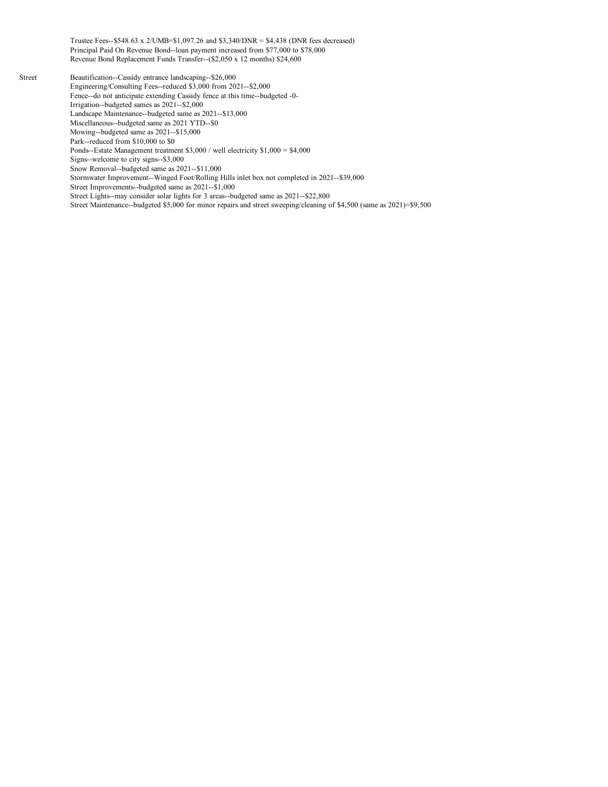Trustee Fees--\$548.63 x 2/UMB=\$1,097.26 and \$3,340/DNR = \$4,438 (DNR fees decreased) Principal Paid On Revenue Bond--loan payment increased from \$77,000 to \$78,000 Revenue Bond Replacement Funds Transfer--(\$2,050 x 12 months) \$24,600

Street Beautification--Cassidy entrance landscaping--\$26,000 Engineering/Consulting Fees--reduced \$3,000 from 2021--\$2,000 Fence--do not anticipate extending Cassidy fence at this time--budgeted -0- Irrigation--budgeted sames as 2021--\$2,000 Landscape Maintenance--budgeted same as 2021--\$13,000 Miscellaneous--budgeted same as 2021 YTD--\$0 Mowing--budgeted same as 2021--\$15,000 Park--reduced from \$10,000 to \$0 Ponds--Estate Management treatment \$3,000 / well electricity \$1,000 = \$4,000 Signs--welcome to city signs--\$3,000 Snow Removal--budgeted same as 2021--\$11,000 Stormwater Improvement--Winged Foot/Rolling Hills inlet box not completed in 2021--\$39,000 Street Improvements--budgeted same as 2021--\$1,000

Street Lights--may consider solar lights for 3 areas--budgeted same as 2021--\$22,800

Street Maintenance--budgeted \$5,000 for minor repairs and street sweeping/cleaning of \$4,500 (same as 2021)=\$9,500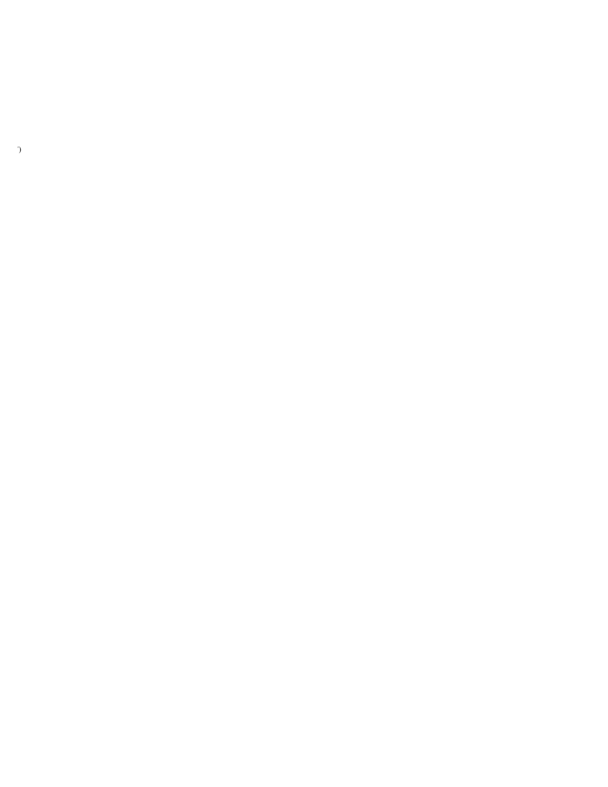$\Gamma$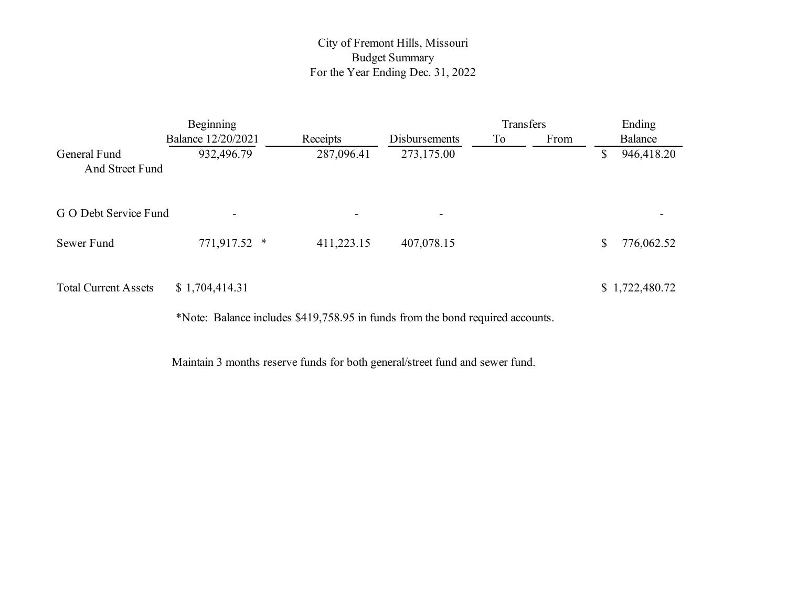# City of Fremont Hills, Missouri Budget Summary For the Year Ending Dec. 31, 2022

|                                 | Beginning                                                                      |            |               | Transfers |      | Ending           |
|---------------------------------|--------------------------------------------------------------------------------|------------|---------------|-----------|------|------------------|
|                                 | Balance 12/20/2021                                                             | Receipts   | Disbursements | To        | From | Balance          |
| General Fund<br>And Street Fund | 932,496.79                                                                     | 287,096.41 | 273,175.00    |           |      | \$<br>946,418.20 |
| G O Debt Service Fund           |                                                                                |            |               |           |      |                  |
| Sewer Fund                      | 771,917.52 *                                                                   | 411,223.15 | 407,078.15    |           |      | \$<br>776,062.52 |
| <b>Total Current Assets</b>     | \$1,704,414.31                                                                 |            |               |           |      | \$1,722,480.72   |
|                                 | *Note: Balance includes \$419,758.95 in funds from the bond required accounts. |            |               |           |      |                  |

Maintain 3 months reserve funds for both general/street fund and sewer fund.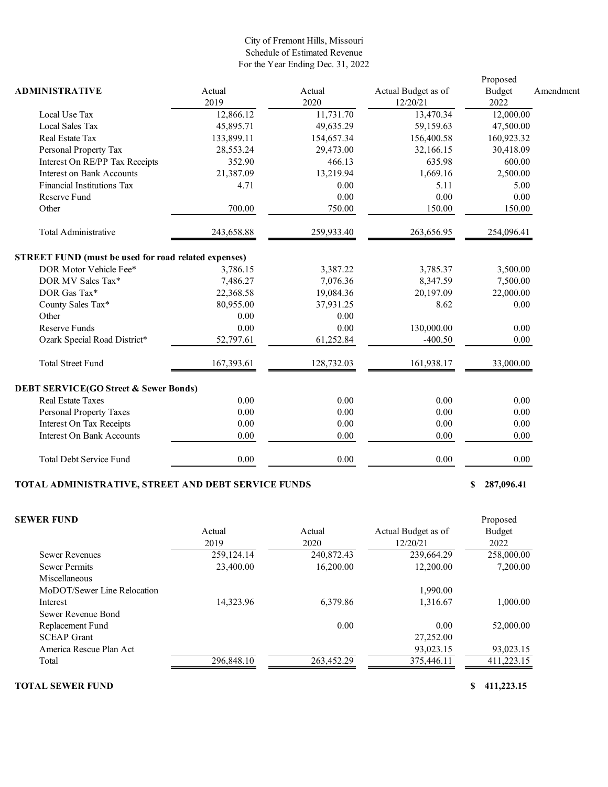### City of Fremont Hills, Missouri Schedule of Estimated Revenue For the Year Ending Dec. 31, 2022

| <b>ADMINISTRATIVE</b>                                | Actual<br>2019 | Actual<br>2020 | Actual Budget as of<br>12/20/21 | Proposed<br><b>Budget</b><br>2022 | Amendment |
|------------------------------------------------------|----------------|----------------|---------------------------------|-----------------------------------|-----------|
| Local Use Tax                                        | 12,866.12      | 11,731.70      | 13,470.34                       | 12,000.00                         |           |
| <b>Local Sales Tax</b>                               | 45,895.71      | 49,635.29      | 59,159.63                       | 47,500.00                         |           |
| <b>Real Estate Tax</b>                               | 133,899.11     | 154,657.34     | 156,400.58                      | 160,923.32                        |           |
| Personal Property Tax                                | 28,553.24      | 29,473.00      | 32,166.15                       | 30,418.09                         |           |
| Interest On RE/PP Tax Receipts                       | 352.90         | 466.13         | 635.98                          | 600.00                            |           |
| <b>Interest on Bank Accounts</b>                     | 21,387.09      | 13,219.94      | 1,669.16                        | 2,500.00                          |           |
| <b>Financial Institutions Tax</b>                    | 4.71           | 0.00           | 5.11                            | 5.00                              |           |
| Reserve Fund                                         |                | 0.00           | 0.00                            | 0.00                              |           |
| Other                                                | 700.00         | 750.00         | 150.00                          | 150.00                            |           |
| Total Administrative                                 | 243,658.88     | 259,933.40     | 263,656.95                      | 254,096.41                        |           |
| STREET FUND (must be used for road related expenses) |                |                |                                 |                                   |           |
| DOR Motor Vehicle Fee*                               | 3,786.15       | 3,387.22       | 3,785.37                        | 3,500.00                          |           |
| DOR MV Sales Tax*                                    | 7,486.27       | 7,076.36       | 8,347.59                        | 7,500.00                          |           |
| DOR Gas Tax*                                         | 22,368.58      | 19,084.36      | 20,197.09                       | 22,000.00                         |           |
| County Sales Tax*                                    | 80,955.00      | 37,931.25      | 8.62                            | 0.00                              |           |
| Other                                                | 0.00           | 0.00           |                                 |                                   |           |
| <b>Reserve Funds</b>                                 | 0.00           | 0.00           | 130,000.00                      | 0.00                              |           |
| Ozark Special Road District*                         | 52,797.61      | 61,252.84      | $-400.50$                       | 0.00                              |           |
| <b>Total Street Fund</b>                             | 167,393.61     | 128,732.03     | 161,938.17                      | 33,000.00                         |           |
| <b>DEBT SERVICE(GO Street &amp; Sewer Bonds)</b>     |                |                |                                 |                                   |           |
| <b>Real Estate Taxes</b>                             | 0.00           | 0.00           | 0.00                            | 0.00                              |           |
| <b>Personal Property Taxes</b>                       | 0.00           | 0.00           | 0.00                            | 0.00                              |           |
| Interest On Tax Receipts                             | 0.00           | 0.00           | 0.00                            | 0.00                              |           |
| <b>Interest On Bank Accounts</b>                     | 0.00           | 0.00           | 0.00                            | 0.00                              |           |
| Total Debt Service Fund                              | 0.00           | 0.00           | 0.00                            | 0.00                              |           |

## **TOTAL ADMINISTRATIVE, STREET AND DEBT SERVICE FUNDS \$ 287,096.41**

| <b>SEWER FUND</b>           |              |            |                     | Proposed   |
|-----------------------------|--------------|------------|---------------------|------------|
|                             | Actual       | Actual     | Actual Budget as of | Budget     |
|                             | 2019         | 2020       | 12/20/21            | 2022       |
| <b>Sewer Revenues</b>       | 259, 124. 14 | 240,872.43 | 239,664.29          | 258,000.00 |
| <b>Sewer Permits</b>        | 23,400.00    | 16,200.00  | 12,200.00           | 7,200.00   |
| Miscellaneous               |              |            |                     |            |
| MoDOT/Sewer Line Relocation |              |            | 1,990.00            |            |
| Interest                    | 14.323.96    | 6,379.86   | 1,316.67            | 1,000.00   |
| Sewer Revenue Bond          |              |            |                     |            |
| Replacement Fund            |              | 0.00       | 0.00                | 52,000.00  |
| <b>SCEAP Grant</b>          |              |            | 27,252.00           |            |
| America Rescue Plan Act     |              |            | 93,023.15           | 93,023.15  |
| Total                       | 296,848.10   | 263,452.29 | 375,446.11          | 411.223.15 |
|                             |              |            |                     |            |

### **TOTAL SEWER FUND \$ 411,223.15**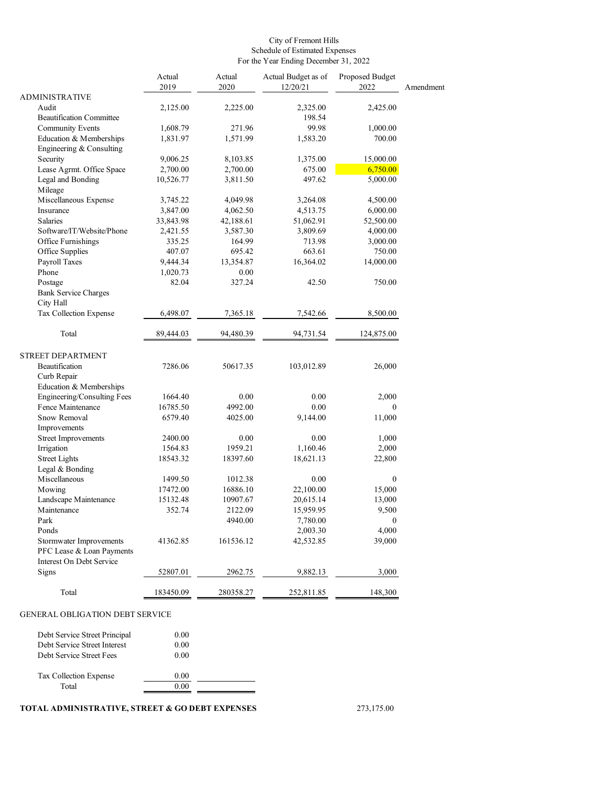#### City of Fremont Hills Schedule of Estimated Expenses For the Year Ending December 31, 2022

|                                 | Actual<br>2019 | Actual<br>2020 | Actual Budget as of<br>12/20/21 | Proposed Budget<br>2022 | Amendment |
|---------------------------------|----------------|----------------|---------------------------------|-------------------------|-----------|
| <b>ADMINISTRATIVE</b>           |                |                |                                 |                         |           |
| Audit                           | 2,125.00       | 2,225.00       | 2,325.00                        | 2,425.00                |           |
| <b>Beautification Committee</b> |                |                | 198.54                          |                         |           |
| <b>Community Events</b>         | 1,608.79       | 271.96         | 99.98                           | 1,000.00                |           |
| Education & Memberships         | 1,831.97       | 1,571.99       | 1,583.20                        | 700.00                  |           |
| Engineering & Consulting        |                |                |                                 |                         |           |
| Security                        | 9,006.25       | 8,103.85       | 1,375.00                        | 15,000.00               |           |
| Lease Agrmt. Office Space       | 2,700.00       | 2,700.00       | 675.00                          | 6,750.00                |           |
| Legal and Bonding               | 10,526.77      | 3,811.50       | 497.62                          | 5,000.00                |           |
| Mileage                         |                |                |                                 |                         |           |
| Miscellaneous Expense           | 3,745.22       | 4,049.98       | 3,264.08                        | 4,500.00                |           |
| Insurance                       | 3,847.00       | 4,062.50       | 4,513.75                        | 6,000.00                |           |
| <b>Salaries</b>                 | 33,843.98      | 42,188.61      | 51,062.91                       | 52,500.00               |           |
| Software/IT/Website/Phone       | 2,421.55       | 3,587.30       | 3,809.69                        | 4,000.00                |           |
| Office Furnishings              | 335.25         | 164.99         | 713.98                          | 3,000.00                |           |
| Office Supplies                 | 407.07         | 695.42         | 663.61                          | 750.00                  |           |
| Payroll Taxes                   | 9,444.34       | 13,354.87      | 16,364.02                       | 14,000.00               |           |
| Phone                           | 1,020.73       | 0.00           |                                 |                         |           |
| Postage                         | 82.04          | 327.24         | 42.50                           | 750.00                  |           |
| <b>Bank Service Charges</b>     |                |                |                                 |                         |           |
| City Hall                       |                |                |                                 |                         |           |
| Tax Collection Expense          | 6,498.07       | 7,365.18       | 7,542.66                        | 8,500.00                |           |
|                                 |                |                |                                 |                         |           |
| Total                           | 89,444.03      | 94,480.39      | 94,731.54                       | 124,875.00              |           |
| <b>STREET DEPARTMENT</b>        |                |                |                                 |                         |           |
| Beautification                  | 7286.06        | 50617.35       | 103,012.89                      | 26,000                  |           |
| Curb Repair                     |                |                |                                 |                         |           |
| Education & Memberships         |                |                |                                 |                         |           |
| Engineering/Consulting Fees     | 1664.40        | 0.00           | 0.00                            | 2,000                   |           |
| Fence Maintenance               | 16785.50       | 4992.00        | 0.00                            | 0                       |           |
| Snow Removal                    | 6579.40        | 4025.00        | 9,144.00                        | 11,000                  |           |
| Improvements                    |                |                |                                 |                         |           |
| <b>Street Improvements</b>      | 2400.00        | 0.00           | 0.00                            | 1,000                   |           |
| Irrigation                      | 1564.83        | 1959.21        | 1,160.46                        | 2,000                   |           |
| <b>Street Lights</b>            | 18543.32       | 18397.60       | 18,621.13                       | 22,800                  |           |
| Legal & Bonding                 |                |                |                                 |                         |           |
| Miscellaneous                   | 1499.50        | 1012.38        | 0.00                            | $\boldsymbol{0}$        |           |
| Mowing                          | 17472.00       | 16886.10       | 22,100.00                       | 15,000                  |           |
| Landscape Maintenance           | 15132.48       | 10907.67       | 20,615.14                       | 13,000                  |           |
| Maintenance                     | 352.74         | 2122.09        | 15,959.95                       | 9,500                   |           |
| Park                            |                | 4940.00        | 7,780.00                        | $\boldsymbol{0}$        |           |
| Ponds                           |                |                | 2,003.30                        | 4,000                   |           |
| Stormwater Improvements         | 41362.85       | 161536.12      | 42,532.85                       | 39,000                  |           |
| PFC Lease & Loan Payments       |                |                |                                 |                         |           |
| Interest On Debt Service        |                |                |                                 |                         |           |
| Signs                           | 52807.01       | 2962.75        | 9,882.13                        | 3,000                   |           |
|                                 |                |                |                                 |                         |           |
| Total                           | 183450.09      | 280358.27      | 252,811.85                      | 148,300                 |           |
|                                 |                |                |                                 |                         |           |

#### GENERAL OBLIGATION DEBT SERVICE

| 0.00 |  |
|------|--|
| 0.00 |  |
| 0.00 |  |
|      |  |
| 0.00 |  |
|      |  |
|      |  |

## **TOTAL ADMINISTRATIVE, STREET & GO DEBT EXPENSES** 273,175.00